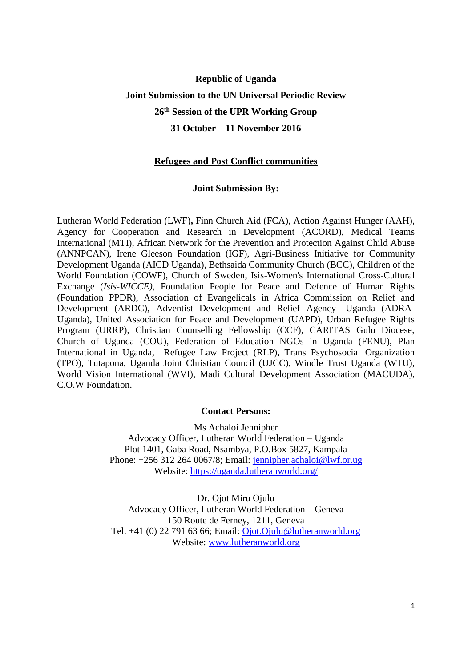# **Republic of Uganda Joint Submission to the UN Universal Periodic Review 26th Session of the UPR Working Group 31 October – 11 November 2016**

#### **Refugees and Post Conflict communities**

#### **Joint Submission By:**

Lutheran World Federation (LWF)**,** Finn Church Aid (FCA), Action Against Hunger (AAH), Agency for Cooperation and Research in Development (ACORD), Medical Teams International (MTI), African Network for the Prevention and Protection Against Child Abuse (ANNPCAN), Irene Gleeson Foundation (IGF), Agri-Business Initiative for Community Development Uganda (AICD Uganda), Bethsaida Community Church (BCC), Children of the World Foundation (COWF), Church of Sweden, Isis-Women's International Cross-Cultural Exchange (*Isis*-*WICCE),* Foundation People for Peace and Defence of Human Rights (Foundation PPDR), Association of Evangelicals in Africa Commission on Relief and Development (ARDC), Adventist Development and Relief Agency- Uganda (ADRA-Uganda), United Association for Peace and Development (UAPD), Urban Refugee Rights Program (URRP), Christian Counselling Fellowship (CCF), CARITAS Gulu Diocese, Church of Uganda (COU), Federation of Education NGOs in Uganda (FENU), Plan International in Uganda, Refugee Law Project (RLP), Trans Psychosocial Organization (TPO), Tutapona, Uganda Joint Christian Council (UJCC), Windle Trust Uganda (WTU), World Vision International (WVI), Madi Cultural Development Association (MACUDA), C.O.W Foundation.

#### **Contact Persons:**

Ms Achaloi Jennipher Advocacy Officer, Lutheran World Federation – Uganda Plot 1401, Gaba Road, Nsambya, P.O.Box 5827, Kampala Phone: +256 312 264 0067/8; Email: [jennipher.achaloi@lwf.or.ug](mailto:jennipher.achaloi@lwf.or.ug) Website:<https://uganda.lutheranworld.org/>

Dr. Ojot Miru Ojulu Advocacy Officer, Lutheran World Federation – Geneva 150 Route de Ferney, 1211, Geneva Tel. +41 (0) 22 791 63 66; Email: [Ojot.Ojulu@lutheranworld.org](mailto:Ojot.Ojulu@lutheranworld.org) Website: [www.lutheranworld.org](http://www.lutheranworld.org/)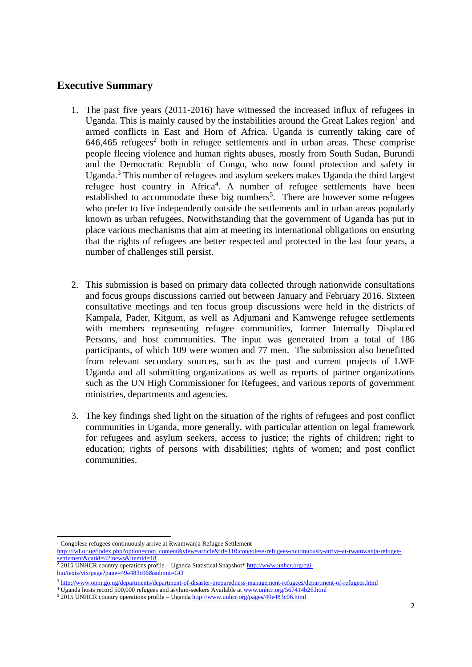## **Executive Summary**

- 1. The past five years (2011-2016) have witnessed the increased influx of refugees in Uganda. This is mainly caused by the instabilities around the Great Lakes region<sup>1</sup> and armed conflicts in East and Horn of Africa. Uganda is currently taking care of  $646,465$  refugees<sup>2</sup> both in refugee settlements and in urban areas. These comprise people fleeing violence and human rights abuses, mostly from South Sudan, Burundi and the Democratic Republic of Congo, who now found protection and safety in Uganda.<sup>3</sup> This number of refugees and asylum seekers makes Uganda the third largest refugee host country in Africa<sup>4</sup>. A number of refugee settlements have been established to accommodate these big numbers<sup>5</sup>. There are however some refugees who prefer to live independently outside the settlements and in urban areas popularly known as urban refugees. Notwithstanding that the government of Uganda has put in place various mechanisms that aim at meeting its international obligations on ensuring that the rights of refugees are better respected and protected in the last four years, a number of challenges still persist.
- 2. This submission is based on primary data collected through nationwide consultations and focus groups discussions carried out between January and February 2016. Sixteen consultative meetings and ten focus group discussions were held in the districts of Kampala, Pader, Kitgum, as well as Adjumani and Kamwenge refugee settlements with members representing refugee communities, former Internally Displaced Persons, and host communities. The input was generated from a total of 186 participants, of which 109 were women and 77 men. The submission also benefitted from relevant secondary sources, such as the past and current projects of LWF Uganda and all submitting organizations as well as reports of partner organizations such as the UN High Commissioner for Refugees, and various reports of government ministries, departments and agencies.
- 3. The key findings shed light on the situation of the rights of refugees and post conflict communities in Uganda, more generally, with particular attention on legal framework for refugees and asylum seekers, access to justice; the rights of children; right to education; rights of persons with disabilities; rights of women; and post conflict communities.

<sup>-</sup><sup>1</sup> Congolese refugees continuously arrive at Rwamwanja Refugee Settlement

[http://lwf.or.ug/index.php?option=com\\_content&view=article&id=110:congolese-refugees-continuously-arrive-at-rwamwanja-refugee](http://lwf.or.ug/index.php?option=com_content&view=article&id=110:congolese-refugees-continuously-arrive-at-rwamwanja-refugee-settlement&catid=42:news&Itemid=18)[settlement&catid=42:news&Itemid=18](http://lwf.or.ug/index.php?option=com_content&view=article&id=110:congolese-refugees-continuously-arrive-at-rwamwanja-refugee-settlement&catid=42:news&Itemid=18)

<sup>&</sup>lt;sup>2</sup> 2015 UNHCR country operations profile – Uganda Statistical Snapshot\* [http://www.unhcr.org/cgi](http://www.unhcr.org/cgi-bin/texis/vtx/page?page=49e483c06&submit=GO)[bin/texis/vtx/page?page=49e483c06&submit=GO](http://www.unhcr.org/cgi-bin/texis/vtx/page?page=49e483c06&submit=GO)

<sup>3</sup> <http://www.opm.go.ug/departments/department-of-disaster-preparedness-management-refugees/department-of-refugees.html>

<sup>&</sup>lt;sup>4</sup> Uganda hosts record 500,000 refugees and asylum-seekers Available at [www.unhcr.org/567414b26.html](http://www.unhcr.org/567414b26.html)

<sup>5</sup> 2015 UNHCR country operations profile – Ugand[a http://www.unhcr.org/pages/49e483c06.html](http://www.unhcr.org/pages/49e483c06.html)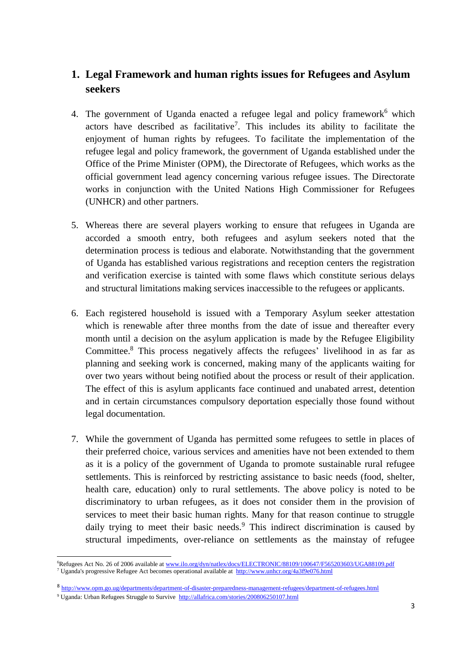## **1. Legal Framework and human rights issues for Refugees and Asylum seekers**

- 4. The government of Uganda enacted a refugee legal and policy framework<sup>6</sup> which actors have described as facilitative<sup>7</sup>. This includes its ability to facilitate the enjoyment of human rights by refugees. To facilitate the implementation of the refugee legal and policy framework, the government of Uganda established under the Office of the Prime Minister (OPM), the Directorate of Refugees, which works as the official government lead agency concerning various refugee issues. The Directorate works in conjunction with the United Nations High Commissioner for Refugees (UNHCR) and other partners.
- 5. Whereas there are several players working to ensure that refugees in Uganda are accorded a smooth entry, both refugees and asylum seekers noted that the determination process is tedious and elaborate. Notwithstanding that the government of Uganda has established various registrations and reception centers the registration and verification exercise is tainted with some flaws which constitute serious delays and structural limitations making services inaccessible to the refugees or applicants.
- 6. Each registered household is issued with a Temporary Asylum seeker attestation which is renewable after three months from the date of issue and thereafter every month until a decision on the asylum application is made by the Refugee Eligibility Committee. <sup>8</sup> This process negatively affects the refugees' livelihood in as far as planning and seeking work is concerned, making many of the applicants waiting for over two years without being notified about the process or result of their application. The effect of this is asylum applicants face continued and unabated arrest, detention and in certain circumstances compulsory deportation especially those found without legal documentation.
- 7. While the government of Uganda has permitted some refugees to settle in places of their preferred choice, various services and amenities have not been extended to them as it is a policy of the government of Uganda to promote sustainable rural refugee settlements. This is reinforced by restricting assistance to basic needs (food, shelter, health care, education) only to rural settlements. The above policy is noted to be discriminatory to urban refugees, as it does not consider them in the provision of services to meet their basic human rights. Many for that reason continue to struggle daily trying to meet their basic needs.<sup>9</sup> This indirect discrimination is caused by structural impediments, over-reliance on settlements as the mainstay of refugee

<sup>6</sup>Refugees Act No. 26 of 2006 available at [www.ilo.org/dyn/natlex/docs/ELECTRONIC/88109/100647/F565203603/UGA88109.pdf](http://www.ilo.org/dyn/natlex/docs/ELECTRONIC/88109/100647/F565203603/UGA88109.pdf) <sup>7</sup> Uganda's progressive Refugee Act becomes operational available at<http://www.unhcr.org/4a3f9e076.html>

<sup>8</sup> <http://www.opm.go.ug/departments/department-of-disaster-preparedness-management-refugees/department-of-refugees.html>

<sup>9</sup> Uganda: Urban Refugees Struggle to Survive<http://allafrica.com/stories/200806250107.html>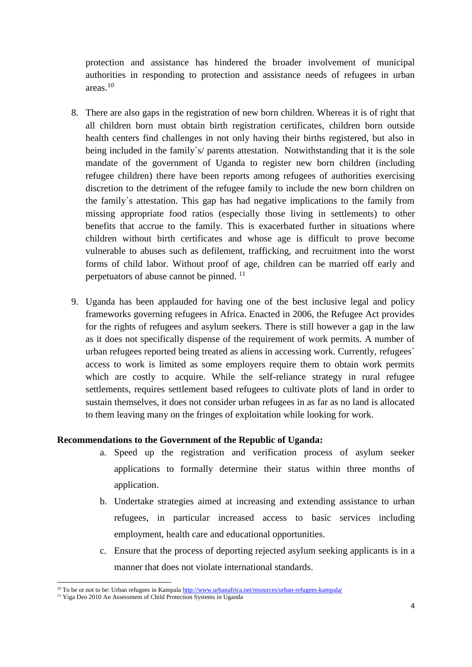protection and assistance has hindered the broader involvement of municipal authorities in responding to protection and assistance needs of refugees in urban areas $10$ 

- 8. There are also gaps in the registration of new born children. Whereas it is of right that all children born must obtain birth registration certificates, children born outside health centers find challenges in not only having their births registered, but also in being included in the family's/ parents attestation. Notwithstanding that it is the sole mandate of the government of Uganda to register new born children (including refugee children) there have been reports among refugees of authorities exercising discretion to the detriment of the refugee family to include the new born children on the family`s attestation. This gap has had negative implications to the family from missing appropriate food ratios (especially those living in settlements) to other benefits that accrue to the family. This is exacerbated further in situations where children without birth certificates and whose age is difficult to prove become vulnerable to abuses such as defilement, trafficking, and recruitment into the worst forms of child labor. Without proof of age, children can be married off early and perpetuators of abuse cannot be pinned. <sup>11</sup>
- 9. Uganda has been applauded for having one of the best inclusive legal and policy frameworks governing refugees in Africa. Enacted in 2006, the Refugee Act provides for the rights of refugees and asylum seekers. There is still however a gap in the law as it does not specifically dispense of the requirement of work permits. A number of urban refugees reported being treated as aliens in accessing work. Currently, refugees` access to work is limited as some employers require them to obtain work permits which are costly to acquire. While the self-reliance strategy in rural refugee settlements, requires settlement based refugees to cultivate plots of land in order to sustain themselves, it does not consider urban refugees in as far as no land is allocated to them leaving many on the fringes of exploitation while looking for work.

#### **Recommendations to the Government of the Republic of Uganda:**

- a. Speed up the registration and verification process of asylum seeker applications to formally determine their status within three months of application.
- b. Undertake strategies aimed at increasing and extending assistance to urban refugees, in particular increased access to basic services including employment, health care and educational opportunities.
- c. Ensure that the process of deporting rejected asylum seeking applicants is in a manner that does not violate international standards.

<sup>10</sup> To be or not to be: Urban refugees in Kampal[a http://www.urbanafrica.net/resources/urban-refugees-kampala/](http://www.urbanafrica.net/resources/urban-refugees-kampala/)

<sup>&</sup>lt;sup>11</sup> Yiga Deo 2010 An Assessment of Child Protection Systems in Uganda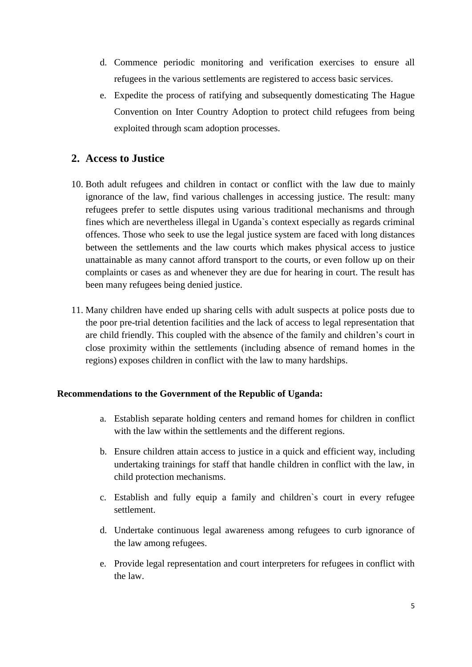- d. Commence periodic monitoring and verification exercises to ensure all refugees in the various settlements are registered to access basic services.
- e. Expedite the process of ratifying and subsequently domesticating The Hague Convention on Inter Country Adoption to protect child refugees from being exploited through scam adoption processes.

## **2. Access to Justice**

- 10. Both adult refugees and children in contact or conflict with the law due to mainly ignorance of the law, find various challenges in accessing justice. The result: many refugees prefer to settle disputes using various traditional mechanisms and through fines which are nevertheless illegal in Uganda`s context especially as regards criminal offences. Those who seek to use the legal justice system are faced with long distances between the settlements and the law courts which makes physical access to justice unattainable as many cannot afford transport to the courts, or even follow up on their complaints or cases as and whenever they are due for hearing in court. The result has been many refugees being denied justice.
- 11. Many children have ended up sharing cells with adult suspects at police posts due to the poor pre-trial detention facilities and the lack of access to legal representation that are child friendly. This coupled with the absence of the family and children's court in close proximity within the settlements (including absence of remand homes in the regions) exposes children in conflict with the law to many hardships.

#### **Recommendations to the Government of the Republic of Uganda:**

- a. Establish separate holding centers and remand homes for children in conflict with the law within the settlements and the different regions.
- b. Ensure children attain access to justice in a quick and efficient way, including undertaking trainings for staff that handle children in conflict with the law, in child protection mechanisms.
- c. Establish and fully equip a family and children`s court in every refugee settlement.
- d. Undertake continuous legal awareness among refugees to curb ignorance of the law among refugees.
- e. Provide legal representation and court interpreters for refugees in conflict with the law.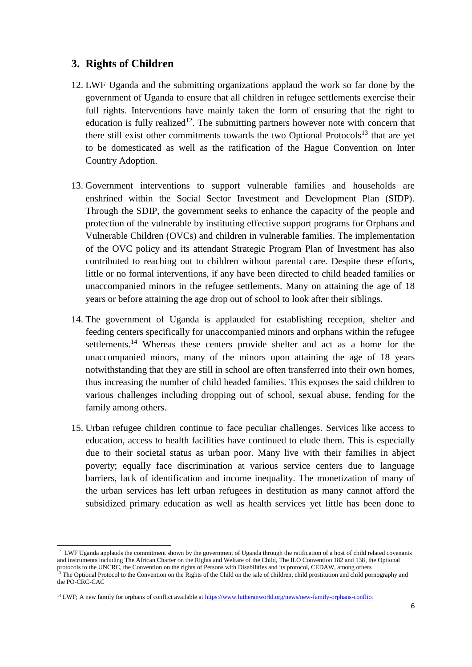### **3. Rights of Children**

- 12. LWF Uganda and the submitting organizations applaud the work so far done by the government of Uganda to ensure that all children in refugee settlements exercise their full rights. Interventions have mainly taken the form of ensuring that the right to education is fully realized<sup>12</sup>. The submitting partners however note with concern that there still exist other commitments towards the two Optional Protocols<sup>13</sup> that are yet to be domesticated as well as the ratification of the Hague Convention on Inter Country Adoption.
- 13. Government interventions to support vulnerable families and households are enshrined within the Social Sector Investment and Development Plan (SIDP). Through the SDIP, the government seeks to enhance the capacity of the people and protection of the vulnerable by instituting effective support programs for Orphans and Vulnerable Children (OVCs) and children in vulnerable families. The implementation of the OVC policy and its attendant Strategic Program Plan of Investment has also contributed to reaching out to children without parental care. Despite these efforts, little or no formal interventions, if any have been directed to child headed families or unaccompanied minors in the refugee settlements. Many on attaining the age of 18 years or before attaining the age drop out of school to look after their siblings.
- 14. The government of Uganda is applauded for establishing reception, shelter and feeding centers specifically for unaccompanied minors and orphans within the refugee settlements.<sup>14</sup> Whereas these centers provide shelter and act as a home for the unaccompanied minors, many of the minors upon attaining the age of 18 years notwithstanding that they are still in school are often transferred into their own homes, thus increasing the number of child headed families. This exposes the said children to various challenges including dropping out of school, sexual abuse, fending for the family among others.
- 15. Urban refugee children continue to face peculiar challenges. Services like access to education, access to health facilities have continued to elude them. This is especially due to their societal status as urban poor. Many live with their families in abject poverty; equally face discrimination at various service centers due to language barriers, lack of identification and income inequality. The monetization of many of the urban services has left urban refugees in destitution as many cannot afford the subsidized primary education as well as health services yet little has been done to

 12 LWF Uganda applauds the commitment shown by the government of Uganda through the ratification of a host of child related covenants and instruments including The African Charter on the Rights and Welfare of the Child, The ILO Convention 182 and 138, the Optional protocols to the UNCRC, the Convention on the rights of Persons with Disabilities and its protocol, CEDAW, among others <sup>13</sup> The Optional Protocol to the Convention on the Rights of the Child on the sale of children, child prostitution and child pornography and the PO-CRC-CAC

<sup>&</sup>lt;sup>14</sup> LWF; A new family for orphans of conflict available a[t https://www.lutheranworld.org/news/new-family-orphans-conflict](https://www.lutheranworld.org/news/new-family-orphans-conflict)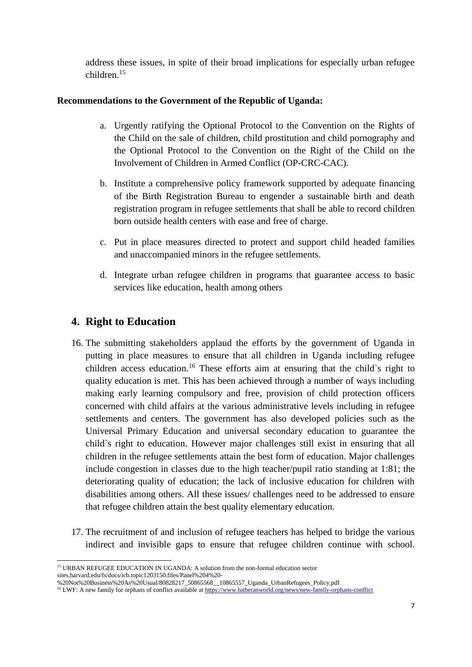address these issues, in spite of their broad implications for especially urban refugee children.<sup>15</sup>

#### **Recommendations to the Government of the Republic of Uganda:**

- a. Urgently ratifying the Optional Protocol to the Convention on the Rights of the Child on the sale of children, child prostitution and child pornography and the Optional Protocol to the Convention on the Right of the Child on the Involvement of Children in Armed Conflict (OP-CRC-CAC).
- b. Institute a comprehensive policy framework supported by adequate financing of the Birth Registration Bureau to engender a sustainable birth and death registration program in refugee settlements that shall be able to record children born outside health centers with ease and free of charge.
- c. Put in place measures directed to protect and support child headed families and unaccompanied minors in the refugee settlements.
- d. Integrate urban refugee children in programs that guarantee access to basic services like education, health among others

## **4. Right to Education**

-

- 16. The submitting stakeholders applaud the efforts by the government of Uganda in putting in place measures to ensure that all children in Uganda including refugee children access education.<sup>16</sup> These efforts aim at ensuring that the child`s right to quality education is met. This has been achieved through a number of ways including making early learning compulsory and free, provision of child protection officers concerned with child affairs at the various administrative levels including in refugee settlements and centers. The government has also developed policies such as the Universal Primary Education and universal secondary education to guarantee the child`s right to education. However major challenges still exist in ensuring that all children in the refugee settlements attain the best form of education. Major challenges include congestion in classes due to the high teacher/pupil ratio standing at 1:81; the deteriorating quality of education; the lack of inclusive education for children with disabilities among others. All these issues/ challenges need to be addressed to ensure that refugee children attain the best quality elementary education.
- 17. The recruitment of and inclusion of refugee teachers has helped to bridge the various indirect and invisible gaps to ensure that refugee children continue with school.

<sup>&</sup>lt;sup>15</sup> URBAN REFUGEE EDUCATION IN UGANDA: A solution from the non-formal education sector sites.harvard.edu/fs/docs/icb.topic1203150.files/Panel%204%20-

<sup>%20</sup>Not%20Business%20As%20Usual/80828217\_50865568\_\_10865557\_Uganda\_UrbanRefugees\_Policy.pdf

<sup>&</sup>lt;sup>16</sup> LWF: A new family for orphans of conflict available a[t https://www.lutheranworld.org/news/new-family-orphans-conflict](https://www.lutheranworld.org/news/new-family-orphans-conflict)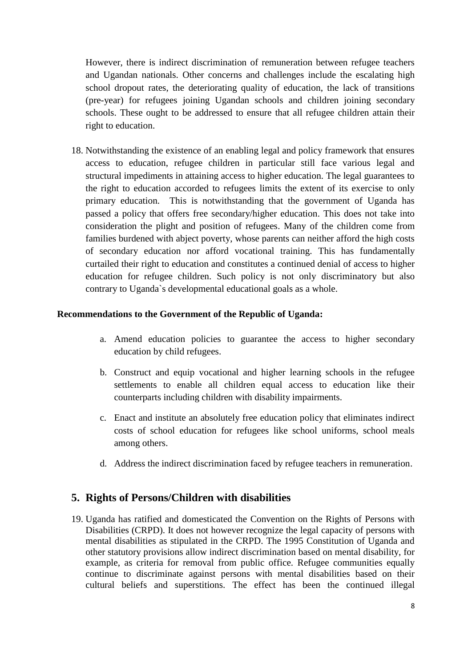However, there is indirect discrimination of remuneration between refugee teachers and Ugandan nationals. Other concerns and challenges include the escalating high school dropout rates, the deteriorating quality of education, the lack of transitions (pre-year) for refugees joining Ugandan schools and children joining secondary schools. These ought to be addressed to ensure that all refugee children attain their right to education.

18. Notwithstanding the existence of an enabling legal and policy framework that ensures access to education, refugee children in particular still face various legal and structural impediments in attaining access to higher education. The legal guarantees to the right to education accorded to refugees limits the extent of its exercise to only primary education. This is notwithstanding that the government of Uganda has passed a policy that offers free secondary/higher education. This does not take into consideration the plight and position of refugees. Many of the children come from families burdened with abject poverty, whose parents can neither afford the high costs of secondary education nor afford vocational training. This has fundamentally curtailed their right to education and constitutes a continued denial of access to higher education for refugee children. Such policy is not only discriminatory but also contrary to Uganda`s developmental educational goals as a whole.

#### **Recommendations to the Government of the Republic of Uganda:**

- a. Amend education policies to guarantee the access to higher secondary education by child refugees.
- b. Construct and equip vocational and higher learning schools in the refugee settlements to enable all children equal access to education like their counterparts including children with disability impairments.
- c. Enact and institute an absolutely free education policy that eliminates indirect costs of school education for refugees like school uniforms, school meals among others.
- d. Address the indirect discrimination faced by refugee teachers in remuneration.

## **5. Rights of Persons/Children with disabilities**

19. Uganda has ratified and domesticated the Convention on the Rights of Persons with Disabilities (CRPD). It does not however recognize the legal capacity of persons with mental disabilities as stipulated in the CRPD. The 1995 Constitution of Uganda and other statutory provisions allow indirect discrimination based on mental disability, for example, as criteria for removal from public office. Refugee communities equally continue to discriminate against persons with mental disabilities based on their cultural beliefs and superstitions. The effect has been the continued illegal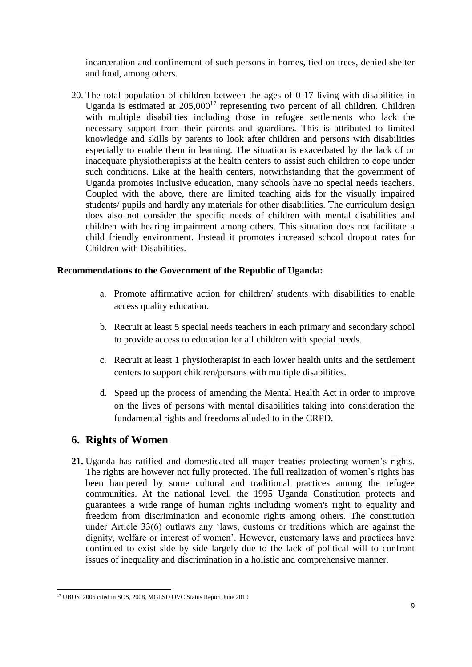incarceration and confinement of such persons in homes, tied on trees, denied shelter and food, among others.

20. The total population of children between the ages of 0-17 living with disabilities in Uganda is estimated at  $205,000^{17}$  representing two percent of all children. Children with multiple disabilities including those in refugee settlements who lack the necessary support from their parents and guardians. This is attributed to limited knowledge and skills by parents to look after children and persons with disabilities especially to enable them in learning. The situation is exacerbated by the lack of or inadequate physiotherapists at the health centers to assist such children to cope under such conditions. Like at the health centers, notwithstanding that the government of Uganda promotes inclusive education, many schools have no special needs teachers. Coupled with the above, there are limited teaching aids for the visually impaired students/ pupils and hardly any materials for other disabilities. The curriculum design does also not consider the specific needs of children with mental disabilities and children with hearing impairment among others. This situation does not facilitate a child friendly environment. Instead it promotes increased school dropout rates for Children with Disabilities.

#### **Recommendations to the Government of the Republic of Uganda:**

- a. Promote affirmative action for children/ students with disabilities to enable access quality education.
- b. Recruit at least 5 special needs teachers in each primary and secondary school to provide access to education for all children with special needs.
- c. Recruit at least 1 physiotherapist in each lower health units and the settlement centers to support children/persons with multiple disabilities.
- d. Speed up the process of amending the Mental Health Act in order to improve on the lives of persons with mental disabilities taking into consideration the fundamental rights and freedoms alluded to in the CRPD.

### **6. Rights of Women**

**21.** Uganda has ratified and domesticated all major treaties protecting women's rights. The rights are however not fully protected. The full realization of women`s rights has been hampered by some cultural and traditional practices among the refugee communities. At the national level, the 1995 Uganda Constitution protects and guarantees a wide range of human rights including women's right to equality and freedom from discrimination and economic rights among others. The constitution under Article 33(6) outlaws any 'laws, customs or traditions which are against the dignity, welfare or interest of women'. However, customary laws and practices have continued to exist side by side largely due to the lack of political will to confront issues of inequality and discrimination in a holistic and comprehensive manner.

 $\overline{a}$ <sup>17</sup> UBOS 2006 cited in SOS, 2008, MGLSD OVC Status Report June 2010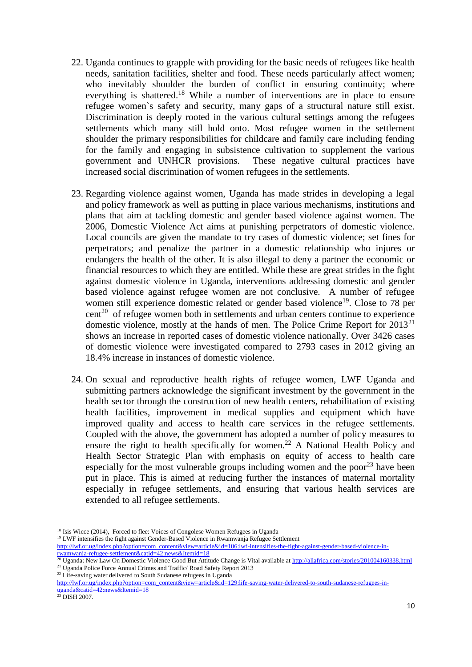- 22. Uganda continues to grapple with providing for the basic needs of refugees like health needs, sanitation facilities, shelter and food. These needs particularly affect women; who inevitably shoulder the burden of conflict in ensuring continuity; where everything is shattered.<sup>18</sup> While a number of interventions are in place to ensure refugee women`s safety and security, many gaps of a structural nature still exist. Discrimination is deeply rooted in the various cultural settings among the refugees settlements which many still hold onto. Most refugee women in the settlement shoulder the primary responsibilities for childcare and family care including fending for the family and engaging in subsistence cultivation to supplement the various government and UNHCR provisions. These negative cultural practices have increased social discrimination of women refugees in the settlements.
- 23. Regarding violence against women, Uganda has made strides in developing a legal and policy framework as well as putting in place various mechanisms, institutions and plans that aim at tackling domestic and gender based violence against women. The 2006, Domestic Violence Act aims at punishing perpetrators of domestic violence. Local councils are given the mandate to try cases of domestic violence; set fines for perpetrators; and penalize the partner in a domestic relationship who injures or endangers the health of the other. It is also illegal to deny a partner the economic or financial resources to which they are entitled. While these are great strides in the fight against domestic violence in Uganda, interventions addressing domestic and gender based violence against refugee women are not conclusive. A number of refugee women still experience domestic related or gender based violence<sup>19</sup>. Close to 78 per  $cent<sup>20</sup>$  of refugee women both in settlements and urban centers continue to experience domestic violence, mostly at the hands of men. The Police Crime Report for  $2013^{21}$ shows an increase in reported cases of domestic violence nationally. Over 3426 cases of domestic violence were investigated compared to 2793 cases in 2012 giving an 18.4% increase in instances of domestic violence.
- 24. On sexual and reproductive health rights of refugee women, LWF Uganda and submitting partners acknowledge the significant investment by the government in the health sector through the construction of new health centers, rehabilitation of existing health facilities, improvement in medical supplies and equipment which have improved quality and access to health care services in the refugee settlements. Coupled with the above, the government has adopted a number of policy measures to ensure the right to health specifically for women.<sup>22</sup> A National Health Policy and Health Sector Strategic Plan with emphasis on equity of access to health care especially for the most vulnerable groups including women and the poor<sup>23</sup> have been put in place. This is aimed at reducing further the instances of maternal mortality especially in refugee settlements, and ensuring that various health services are extended to all refugee settlements.

<sup>19</sup> LWF intensifies the fight against Gender-Based Violence in Rwamwanja Refugee Settlement

<sup>22</sup> Life-saving water delivered to South Sudanese refugees in Uganda

-

<sup>&</sup>lt;sup>18</sup> Isis Wicce (2014), Forced to flee: Voices of Congolese Women Refugees in Uganda

[http://lwf.or.ug/index.php?option=com\\_content&view=article&id=106:lwf-intensifies-the-fight-against-gender-based-violence-in](http://lwf.or.ug/index.php?option=com_content&view=article&id=106:lwf-intensifies-the-fight-against-gender-based-violence-in-rwamwanja-refugee-settlement&catid=42:news&Itemid=18)[rwamwanja-refugee-settlement&catid=42:news&Itemid=18](http://lwf.or.ug/index.php?option=com_content&view=article&id=106:lwf-intensifies-the-fight-against-gender-based-violence-in-rwamwanja-refugee-settlement&catid=42:news&Itemid=18)

<sup>&</sup>lt;sup>20</sup> Uganda: New Law On Domestic Violence Good But Attitude Change is Vital available a[t http://allafrica.com/stories/201004160338.html](http://allafrica.com/stories/201004160338.html) <sup>21</sup> Uganda Police Force Annual Crimes and Traffic/ Road Safety Report 2013

[http://lwf.or.ug/index.php?option=com\\_content&view=article&id=129:life-saving-water-delivered-to-south-sudanese-refugees-in](http://lwf.or.ug/index.php?option=com_content&view=article&id=129:life-saving-water-delivered-to-south-sudanese-refugees-in-uganda&catid=42:news&Itemid=18)[uganda&catid=42:news&Itemid=18](http://lwf.or.ug/index.php?option=com_content&view=article&id=129:life-saving-water-delivered-to-south-sudanese-refugees-in-uganda&catid=42:news&Itemid=18)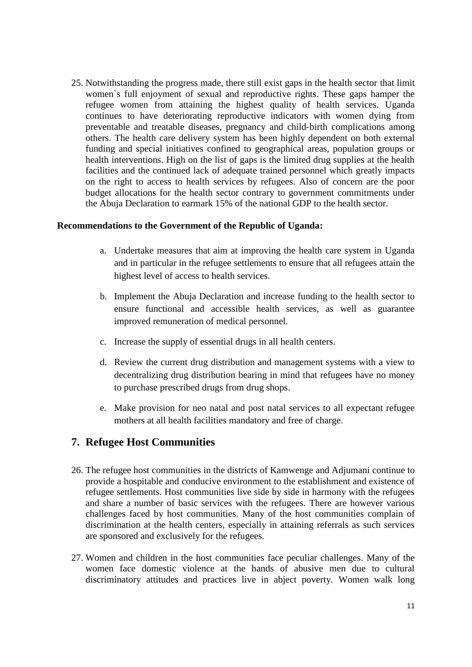25. Notwithstanding the progress made, there still exist gaps in the health sector that limit women`s full enjoyment of sexual and reproductive rights. These gaps hamper the refugee women from attaining the highest quality of health services. Uganda continues to have deteriorating reproductive indicators with women dying from preventable and treatable diseases, pregnancy and child‐birth complications among others. The health care delivery system has been highly dependent on both external funding and special initiatives confined to geographical areas, population groups or health interventions. High on the list of gaps is the limited drug supplies at the health facilities and the continued lack of adequate trained personnel which greatly impacts on the right to access to health services by refugees. Also of concern are the poor budget allocations for the health sector contrary to government commitments under the Abuja Declaration to earmark 15% of the national GDP to the health sector.

#### **Recommendations to the Government of the Republic of Uganda:**

- a. Undertake measures that aim at improving the health care system in Uganda and in particular in the refugee settlements to ensure that all refugees attain the highest level of access to health services.
- b. Implement the Abuja Declaration and increase funding to the health sector to ensure functional and accessible health services, as well as guarantee improved remuneration of medical personnel.
- c. Increase the supply of essential drugs in all health centers.
- d. Review the current drug distribution and management systems with a view to decentralizing drug distribution bearing in mind that refugees have no money to purchase prescribed drugs from drug shops.
- e. Make provision for neo natal and post natal services to all expectant refugee mothers at all health facilities mandatory and free of charge.

### **7. Refugee Host Communities**

- 26. The refugee host communities in the districts of Kamwenge and Adjumani continue to provide a hospitable and conducive environment to the establishment and existence of refugee settlements. Host communities live side by side in harmony with the refugees and share a number of basic services with the refugees. There are however various challenges faced by host communities. Many of the host communities complain of discrimination at the health centers, especially in attaining referrals as such services are sponsored and exclusively for the refugees.
- 27. Women and children in the host communities face peculiar challenges. Many of the women face domestic violence at the hands of abusive men due to cultural discriminatory attitudes and practices live in abject poverty. Women walk long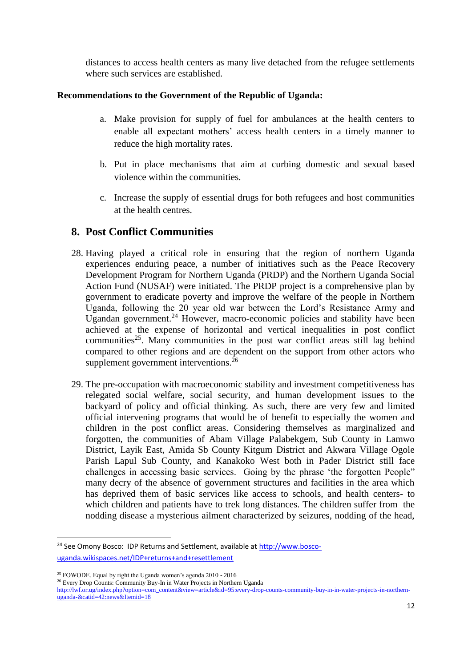distances to access health centers as many live detached from the refugee settlements where such services are established.

#### **Recommendations to the Government of the Republic of Uganda:**

- a. Make provision for supply of fuel for ambulances at the health centers to enable all expectant mothers' access health centers in a timely manner to reduce the high mortality rates.
- b. Put in place mechanisms that aim at curbing domestic and sexual based violence within the communities.
- c. Increase the supply of essential drugs for both refugees and host communities at the health centres.

## **8. Post Conflict Communities**

- 28. Having played a critical role in ensuring that the region of northern Uganda experiences enduring peace, a number of initiatives such as the Peace Recovery Development Program for Northern Uganda (PRDP) and the Northern Uganda Social Action Fund (NUSAF) were initiated. The PRDP project is a comprehensive plan by government to eradicate poverty and improve the welfare of the people in Northern Uganda, following the 20 year old war between the Lord's Resistance Army and Ugandan government.<sup>24</sup> However, macro-economic policies and stability have been achieved at the expense of horizontal and vertical inequalities in post conflict communities<sup>25</sup>. Many communities in the post war conflict areas still lag behind compared to other regions and are dependent on the support from other actors who supplement government interventions.<sup>26</sup>
- 29. The pre-occupation with macroeconomic stability and investment competitiveness has relegated social welfare, social security, and human development issues to the backyard of policy and official thinking. As such, there are very few and limited official intervening programs that would be of benefit to especially the women and children in the post conflict areas. Considering themselves as marginalized and forgotten, the communities of Abam Village Palabekgem, Sub County in Lamwo District, Layik East, Amida Sb County Kitgum District and Akwara Village Ogole Parish Lapul Sub County, and Kanakoko West both in Pader District still face challenges in accessing basic services. Going by the phrase 'the forgotten People" many decry of the absence of government structures and facilities in the area which has deprived them of basic services like access to schools, and health centers- to which children and patients have to trek long distances. The children suffer from the nodding disease a mysterious ailment characterized by seizures, nodding of the head,

<sup>24</sup> See Omony Bosco: IDP Returns and Settlement, available at [http://www.bosco](http://www.bosco-uganda.wikispaces.net/IDP+returns+and+resettlement)[uganda.wikispaces.net/IDP+returns+and+resettlement](http://www.bosco-uganda.wikispaces.net/IDP+returns+and+resettlement)

<sup>25</sup> FOWODE. Equal by right the Uganda women's agenda 2010 - 2016

<sup>&</sup>lt;sup>26</sup> Every Drop Counts: Community Buy-In in Water Projects in Northern Uganda

[http://lwf.or.ug/index.php?option=com\\_content&view=article&id=95:every-drop-counts-community-buy-in-in-water-projects-in-northern](http://lwf.or.ug/index.php?option=com_content&view=article&id=95:every-drop-counts-community-buy-in-in-water-projects-in-northern-uganda-&catid=42:news&Itemid=18)[uganda-&catid=42:news&Itemid=18](http://lwf.or.ug/index.php?option=com_content&view=article&id=95:every-drop-counts-community-buy-in-in-water-projects-in-northern-uganda-&catid=42:news&Itemid=18)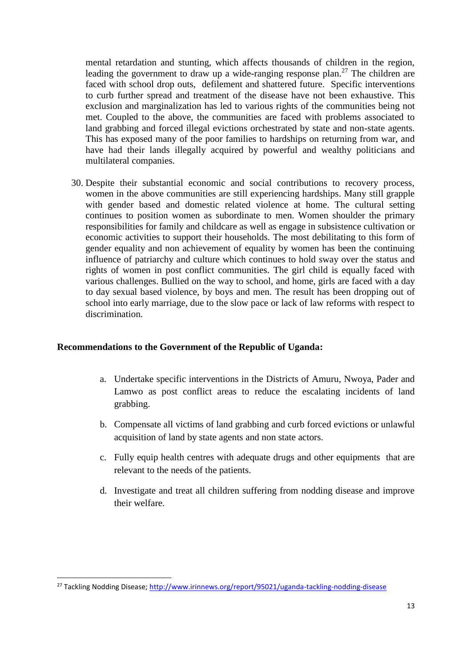mental retardation and stunting, which affects thousands of children in the region, leading the government to draw up a wide-ranging response plan.<sup>27</sup> The children are faced with school drop outs, defilement and shattered future. Specific interventions to curb further spread and treatment of the disease have not been exhaustive. This exclusion and marginalization has led to various rights of the communities being not met. Coupled to the above, the communities are faced with problems associated to land grabbing and forced illegal evictions orchestrated by state and non-state agents. This has exposed many of the poor families to hardships on returning from war, and have had their lands illegally acquired by powerful and wealthy politicians and multilateral companies.

30. Despite their substantial economic and social contributions to recovery process, women in the above communities are still experiencing hardships. Many still grapple with gender based and domestic related violence at home. The cultural setting continues to position women as subordinate to men. Women shoulder the primary responsibilities for family and childcare as well as engage in subsistence cultivation or economic activities to support their households. The most debilitating to this form of gender equality and non achievement of equality by women has been the continuing influence of patriarchy and culture which continues to hold sway over the status and rights of women in post conflict communities. The girl child is equally faced with various challenges. Bullied on the way to school, and home, girls are faced with a day to day sexual based violence, by boys and men. The result has been dropping out of school into early marriage, due to the slow pace or lack of law reforms with respect to discrimination.

#### **Recommendations to the Government of the Republic of Uganda:**

- a. Undertake specific interventions in the Districts of Amuru, Nwoya, Pader and Lamwo as post conflict areas to reduce the escalating incidents of land grabbing.
- b. Compensate all victims of land grabbing and curb forced evictions or unlawful acquisition of land by state agents and non state actors.
- c. Fully equip health centres with adequate drugs and other equipments that are relevant to the needs of the patients.
- d. Investigate and treat all children suffering from nodding disease and improve their welfare.

-

<sup>&</sup>lt;sup>27</sup> Tackling Nodding Disease;<http://www.irinnews.org/report/95021/uganda-tackling-nodding-disease>